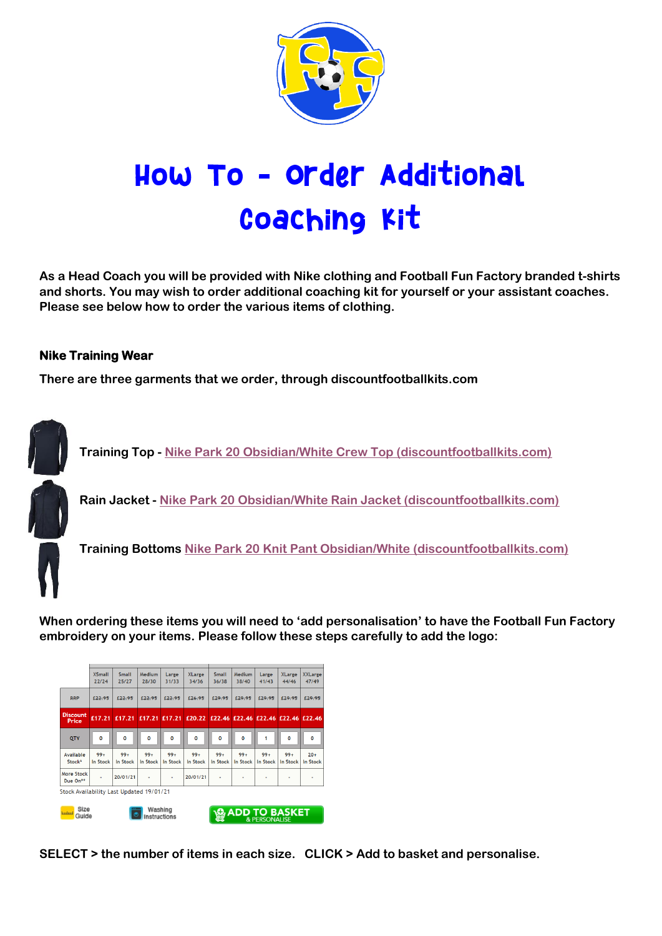

## How To - order Additional **Coaching Kit**

**As a Head Coach you will be provided with Nike clothing and Football Fun Factory branded t-shirts and shorts. You may wish to order additional coaching kit for yourself or your assistant coaches. Please see below how to order the various items of clothing.**

## **Nike Training Wear**

**There are three garments that we order, through discountfootballkits.com**



**When ordering these items you will need to 'add personalisation' to have the Football Fun Factory embroidery on your items. Please follow these steps carefully to add the logo:**

|                                          | <b>XSmall</b><br>22/24 | <b>Small</b><br>25/27          | Medium<br>28/30 | Large<br>31/33 | <b>XLarge</b><br>34/36 | <b>Small</b><br>36/38                            | <b>Medium</b><br>38/40 | Large<br>41/43       | <b>XLarge</b><br>44/46 | <b>XXLarge</b><br>47/49 |
|------------------------------------------|------------------------|--------------------------------|-----------------|----------------|------------------------|--------------------------------------------------|------------------------|----------------------|------------------------|-------------------------|
| <b>RRP</b>                               | £22.95                 | £22.95                         | £22.95          | £22.95         | £26.95                 | £29.95                                           | £29.95                 | £29.95               | £29.95                 | £29.95                  |
| <b>Discount</b><br>Price                 | £17.21                 | £17.21                         | E17.21          | £17.21         | £20.22                 |                                                  |                        | £22.46 £22.46 £22.46 | £22.46 £22.46          |                         |
| QTY                                      | O                      | $\mathbf 0$                    | $\mathbf 0$     | $\mathbf 0$    | $\mathbf{o}$           | O                                                | 0                      | 1                    | $\mathbf 0$            | $\mathbf{o}$            |
| Available                                | $99+$                  | $99+$                          | $99+$           | $99+$          | $99+$                  | $99+$                                            | $99+$                  | $99+$                | $99+$                  | $20+$                   |
| Stock*                                   | In Stock               | In Stock                       | In Stock        | In Stock       | In Stock               | In Stock                                         | In Stock               | In Stock             | In Stock               | In Stock                |
| <b>More Stock</b><br>Due On**            | ٠                      | 20/01/21                       | ٠               | ٠              | 20/01/21               | ٠                                                | ٠                      | ۰                    | ٠                      | ٠                       |
| Stock Availability Last Updated 19/01/21 |                        |                                |                 |                |                        |                                                  |                        |                      |                        |                         |
| Size<br><b>budoo</b> l<br>Guide          |                        | Washing<br><b>Instructions</b> |                 |                |                        | <b>ADD TO BASKET</b><br><b>&amp; PERSONALISE</b> |                        |                      |                        |                         |

**SELECT > the number of items in each size. CLICK > Add to basket and personalise.**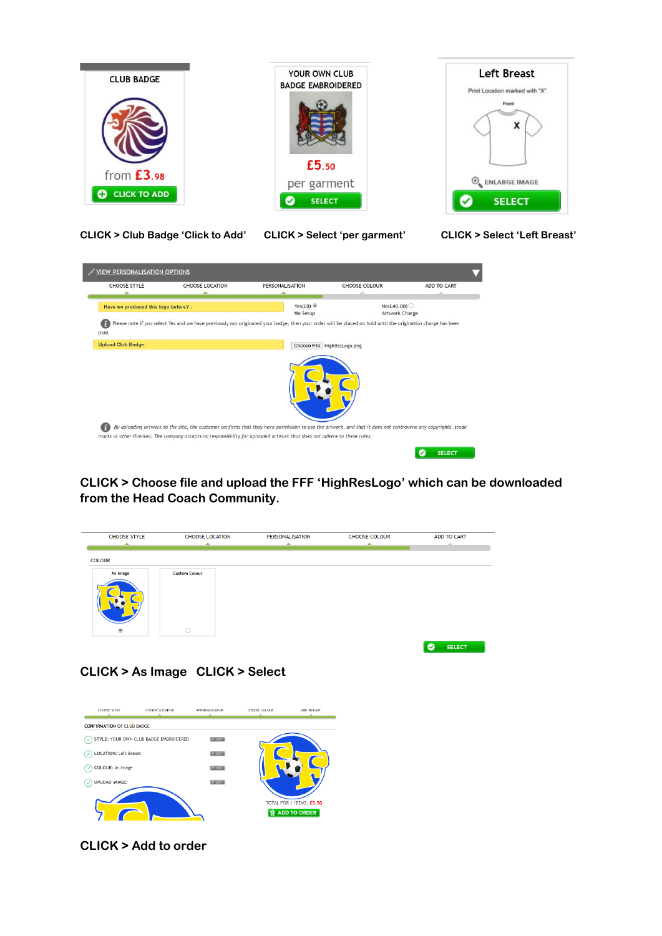

**CLICK > Club Badge 'Click to Add' CLICK > Select 'per garment' CLICK > Select 'Left Breast'**



**CLICK > Choose file and upload the FFF 'HighResLogo' which can be downloaded from the Head Coach Community.**



**CLICK > As Image CLICK > Select**



**CLICK > Add to order**